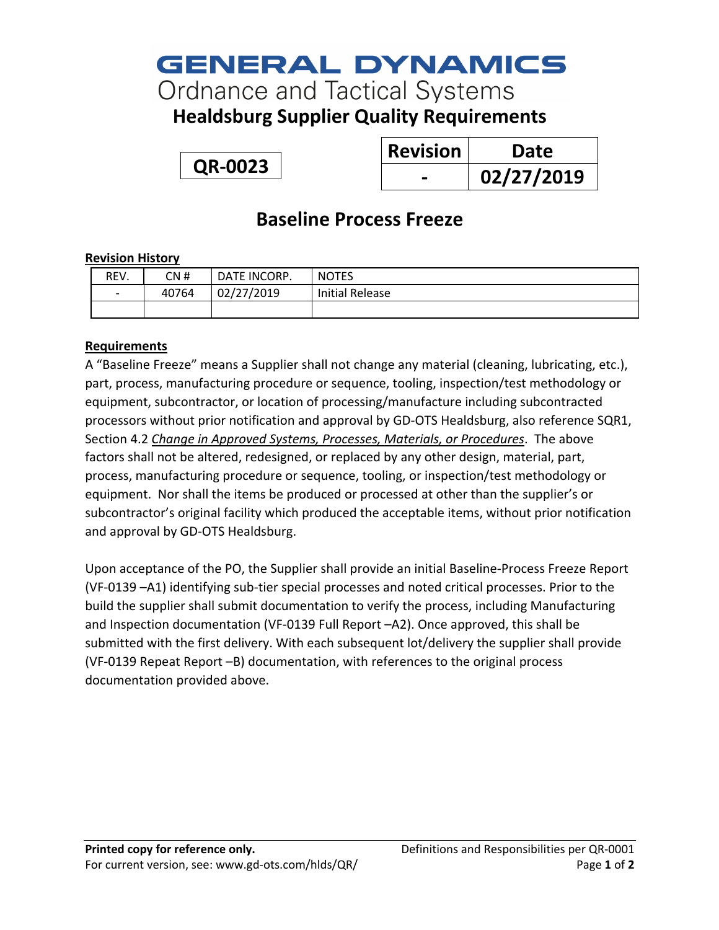# **GENERAL DYNAMICS**

**Ordnance and Tactical Systems** 

**Healdsburg Supplier Quality Requirements**

**QR-0023**

| <b>Revision</b> | Date       |
|-----------------|------------|
|                 | 02/27/2019 |

## **Baseline Process Freeze**

#### **Revision History**

| REV. | CN #  | DATE INCORP. | <b>NOTES</b>           |
|------|-------|--------------|------------------------|
| -    | 40764 | 02/27/2019   | <b>Initial Release</b> |
|      |       |              |                        |

### **Requirements**

A "Baseline Freeze" means a Supplier shall not change any material (cleaning, lubricating, etc.), part, process, manufacturing procedure or sequence, tooling, inspection/test methodology or equipment, subcontractor, or location of processing/manufacture including subcontracted processors without prior notification and approval by GD-OTS Healdsburg, also reference SQR1, Section 4.2 *Change in Approved Systems, Processes, Materials, or Procedures*. The above factors shall not be altered, redesigned, or replaced by any other design, material, part, process, manufacturing procedure or sequence, tooling, or inspection/test methodology or equipment. Nor shall the items be produced or processed at other than the supplier's or subcontractor's original facility which produced the acceptable items, without prior notification and approval by GD-OTS Healdsburg.

Upon acceptance of the PO, the Supplier shall provide an initial Baseline-Process Freeze Report (VF-0139 –A1) identifying sub-tier special processes and noted critical processes. Prior to the build the supplier shall submit documentation to verify the process, including Manufacturing and Inspection documentation (VF-0139 Full Report –A2). Once approved, this shall be submitted with the first delivery. With each subsequent lot/delivery the supplier shall provide (VF-0139 Repeat Report –B) documentation, with references to the original process documentation provided above.